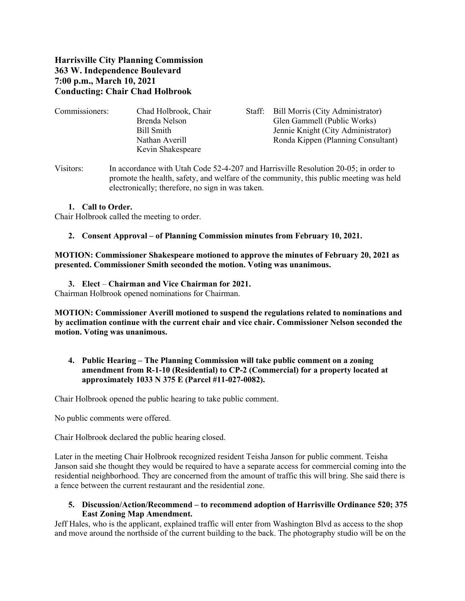## **Harrisville City Planning Commission 363 W. Independence Boulevard 7:00 p.m., March 10, 2021 Conducting: Chair Chad Holbrook**

| Commissioners: | Chad Holbrook, Chair | Staff: Bill Morris (City Administrator) |
|----------------|----------------------|-----------------------------------------|
|                | Brenda Nelson        | Glen Gammell (Public Works)             |
|                | Bill Smith           | Jennie Knight (City Administrator)      |
|                | Nathan Averill       | Ronda Kippen (Planning Consultant)      |
|                | Kevin Shakespeare    |                                         |
|                |                      |                                         |

Visitors: In accordance with Utah Code 52-4-207 and Harrisville Resolution 20-05; in order to promote the health, safety, and welfare of the community, this public meeting was held electronically; therefore, no sign in was taken.

#### **1. Call to Order.**

Chair Holbrook called the meeting to order.

#### **2. Consent Approval – of Planning Commission minutes from February 10, 2021.**

**MOTION: Commissioner Shakespeare motioned to approve the minutes of February 20, 2021 as presented. Commissioner Smith seconded the motion. Voting was unanimous.**

# **3. Elect** – **Chairman and Vice Chairman for 2021.**

Chairman Holbrook opened nominations for Chairman.

**MOTION: Commissioner Averill motioned to suspend the regulations related to nominations and by acclimation continue with the current chair and vice chair. Commissioner Nelson seconded the motion. Voting was unanimous.**

## **4. Public Hearing – The Planning Commission will take public comment on a zoning amendment from R-1-10 (Residential) to CP-2 (Commercial) for a property located at approximately 1033 N 375 E (Parcel #11-027-0082).**

Chair Holbrook opened the public hearing to take public comment.

No public comments were offered.

Chair Holbrook declared the public hearing closed.

Later in the meeting Chair Holbrook recognized resident Teisha Janson for public comment. Teisha Janson said she thought they would be required to have a separate access for commercial coming into the residential neighborhood. They are concerned from the amount of traffic this will bring. She said there is a fence between the current restaurant and the residential zone.

#### **5. Discussion/Action/Recommend – to recommend adoption of Harrisville Ordinance 520; 375 East Zoning Map Amendment.**

Jeff Hales, who is the applicant, explained traffic will enter from Washington Blvd as access to the shop and move around the northside of the current building to the back. The photography studio will be on the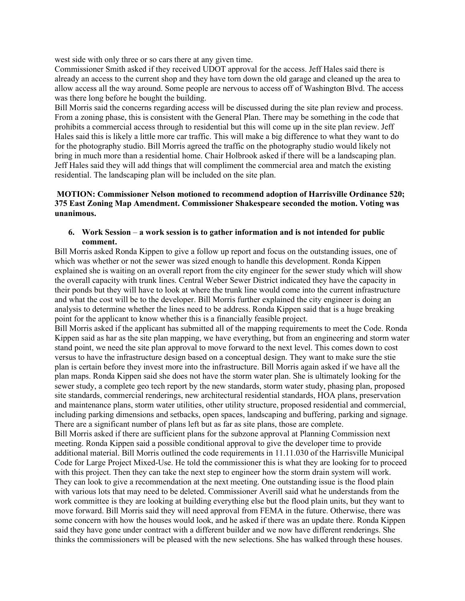west side with only three or so cars there at any given time.

Commissioner Smith asked if they received UDOT approval for the access. Jeff Hales said there is already an access to the current shop and they have torn down the old garage and cleaned up the area to allow access all the way around. Some people are nervous to access off of Washington Blvd. The access was there long before he bought the building.

Bill Morris said the concerns regarding access will be discussed during the site plan review and process. From a zoning phase, this is consistent with the General Plan. There may be something in the code that prohibits a commercial access through to residential but this will come up in the site plan review. Jeff Hales said this is likely a little more car traffic. This will make a big difference to what they want to do for the photography studio. Bill Morris agreed the traffic on the photography studio would likely not bring in much more than a residential home. Chair Holbrook asked if there will be a landscaping plan. Jeff Hales said they will add things that will compliment the commercial area and match the existing residential. The landscaping plan will be included on the site plan.

#### **MOTION: Commissioner Nelson motioned to recommend adoption of Harrisville Ordinance 520; 375 East Zoning Map Amendment. Commissioner Shakespeare seconded the motion. Voting was unanimous.**

#### **6. Work Session** – **a work session is to gather information and is not intended for public comment.**

Bill Morris asked Ronda Kippen to give a follow up report and focus on the outstanding issues, one of which was whether or not the sewer was sized enough to handle this development. Ronda Kippen explained she is waiting on an overall report from the city engineer for the sewer study which will show the overall capacity with trunk lines. Central Weber Sewer District indicated they have the capacity in their ponds but they will have to look at where the trunk line would come into the current infrastructure and what the cost will be to the developer. Bill Morris further explained the city engineer is doing an analysis to determine whether the lines need to be address. Ronda Kippen said that is a huge breaking point for the applicant to know whether this is a financially feasible project.

Bill Morris asked if the applicant has submitted all of the mapping requirements to meet the Code. Ronda Kippen said as har as the site plan mapping, we have everything, but from an engineering and storm water stand point, we need the site plan approval to move forward to the next level. This comes down to cost versus to have the infrastructure design based on a conceptual design. They want to make sure the stie plan is certain before they invest more into the infrastructure. Bill Morris again asked if we have all the plan maps. Ronda Kippen said she does not have the storm water plan. She is ultimately looking for the sewer study, a complete geo tech report by the new standards, storm water study, phasing plan, proposed site standards, commercial renderings, new architectural residential standards, HOA plans, preservation and maintenance plans, storm water utilities, other utility structure, proposed residential and commercial, including parking dimensions and setbacks, open spaces, landscaping and buffering, parking and signage. There are a significant number of plans left but as far as site plans, those are complete.

Bill Morris asked if there are sufficient plans for the subzone approval at Planning Commission next meeting. Ronda Kippen said a possible conditional approval to give the developer time to provide additional material. Bill Morris outlined the code requirements in 11.11.030 of the Harrisville Municipal Code for Large Project Mixed-Use. He told the commissioner this is what they are looking for to proceed with this project. Then they can take the next step to engineer how the storm drain system will work. They can look to give a recommendation at the next meeting. One outstanding issue is the flood plain with various lots that may need to be deleted. Commissioner Averill said what he understands from the work committee is they are looking at building everything else but the flood plain units, but they want to move forward. Bill Morris said they will need approval from FEMA in the future. Otherwise, there was some concern with how the houses would look, and he asked if there was an update there. Ronda Kippen said they have gone under contract with a different builder and we now have different renderings. She thinks the commissioners will be pleased with the new selections. She has walked through these houses.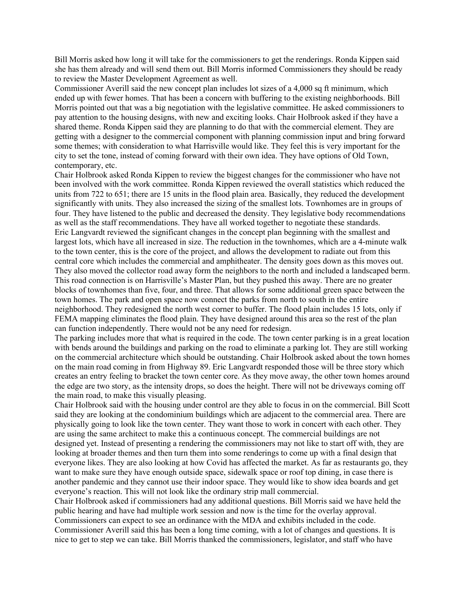Bill Morris asked how long it will take for the commissioners to get the renderings. Ronda Kippen said she has them already and will send them out. Bill Morris informed Commissioners they should be ready to review the Master Development Agreement as well.

Commissioner Averill said the new concept plan includes lot sizes of a 4,000 sq ft minimum, which ended up with fewer homes. That has been a concern with buffering to the existing neighborhoods. Bill Morris pointed out that was a big negotiation with the legislative committee. He asked commissioners to pay attention to the housing designs, with new and exciting looks. Chair Holbrook asked if they have a shared theme. Ronda Kippen said they are planning to do that with the commercial element. They are getting with a designer to the commercial component with planning commission input and bring forward some themes; with consideration to what Harrisville would like. They feel this is very important for the city to set the tone, instead of coming forward with their own idea. They have options of Old Town, contemporary, etc.

Chair Holbrook asked Ronda Kippen to review the biggest changes for the commissioner who have not been involved with the work committee. Ronda Kippen reviewed the overall statistics which reduced the units from 722 to 651; there are 15 units in the flood plain area. Basically, they reduced the development significantly with units. They also increased the sizing of the smallest lots. Townhomes are in groups of four. They have listened to the public and decreased the density. They legislative body recommendations as well as the staff recommendations. They have all worked together to negotiate these standards. Eric Langvardt reviewed the significant changes in the concept plan beginning with the smallest and largest lots, which have all increased in size. The reduction in the townhomes, which are a 4-minute walk to the town center, this is the core of the project, and allows the development to radiate out from this central core which includes the commercial and amphitheater. The density goes down as this moves out. They also moved the collector road away form the neighbors to the north and included a landscaped berm. This road connection is on Harrisville's Master Plan, but they pushed this away. There are no greater blocks of townhomes than five, four, and three. That allows for some additional green space between the town homes. The park and open space now connect the parks from north to south in the entire neighborhood. They redesigned the north west corner to buffer. The flood plain includes 15 lots, only if FEMA mapping eliminates the flood plain. They have designed around this area so the rest of the plan can function independently. There would not be any need for redesign.

The parking includes more that what is required in the code. The town center parking is in a great location with bends around the buildings and parking on the road to eliminate a parking lot. They are still working on the commercial architecture which should be outstanding. Chair Holbrook asked about the town homes on the main road coming in from Highway 89. Eric Langvardt responded those will be three story which creates an entry feeling to bracket the town center core. As they move away, the other town homes around the edge are two story, as the intensity drops, so does the height. There will not be driveways coming off the main road, to make this visually pleasing.

Chair Holbrook said with the housing under control are they able to focus in on the commercial. Bill Scott said they are looking at the condominium buildings which are adjacent to the commercial area. There are physically going to look like the town center. They want those to work in concert with each other. They are using the same architect to make this a continuous concept. The commercial buildings are not designed yet. Instead of presenting a rendering the commissioners may not like to start off with, they are looking at broader themes and then turn them into some renderings to come up with a final design that everyone likes. They are also looking at how Covid has affected the market. As far as restaurants go, they want to make sure they have enough outside space, sidewalk space or roof top dining, in case there is another pandemic and they cannot use their indoor space. They would like to show idea boards and get everyone's reaction. This will not look like the ordinary strip mall commercial.

Chair Holbrook asked if commissioners had any additional questions. Bill Morris said we have held the public hearing and have had multiple work session and now is the time for the overlay approval. Commissioners can expect to see an ordinance with the MDA and exhibits included in the code.

Commissioner Averill said this has been a long time coming, with a lot of changes and questions. It is nice to get to step we can take. Bill Morris thanked the commissioners, legislator, and staff who have